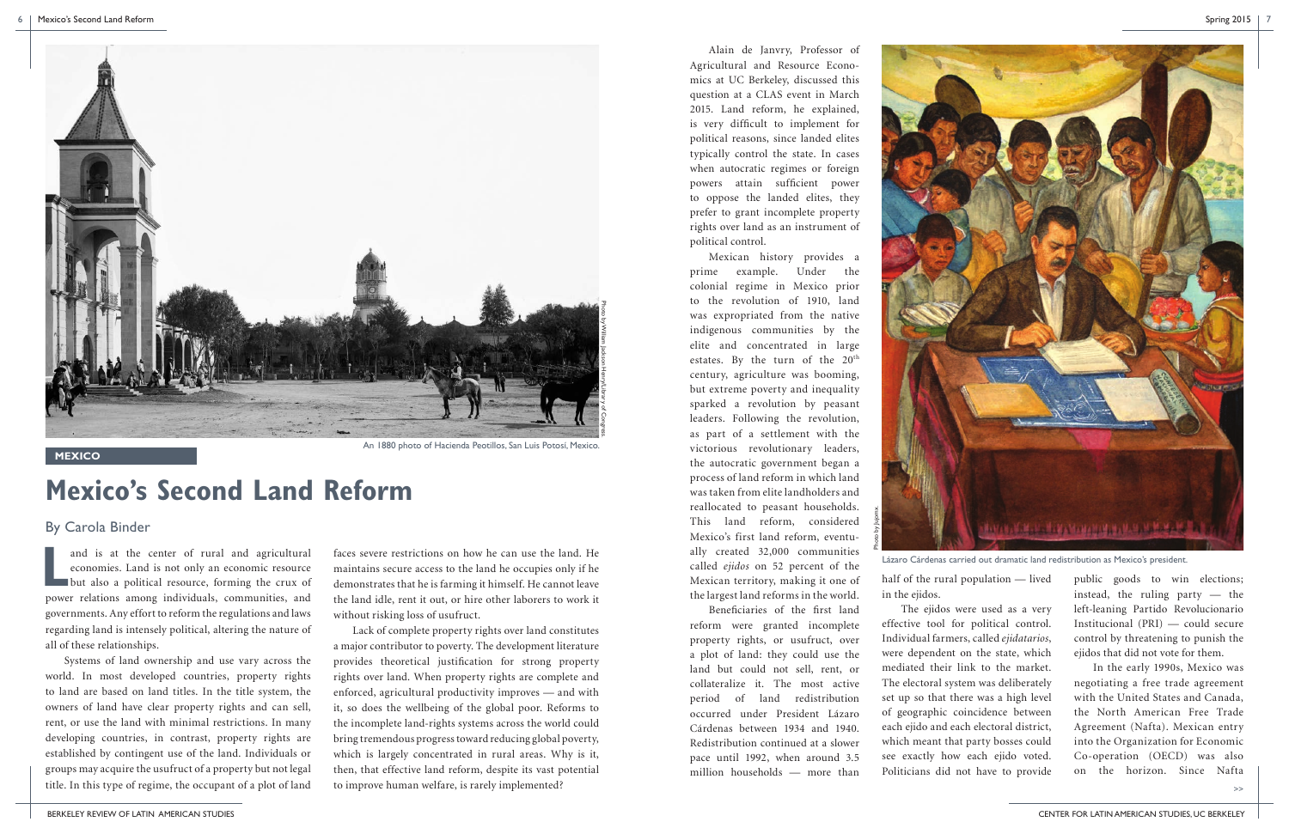**L** and is at the center of rural and agricultural economies. Land is not only an economic resource but also a political resource, forming the crux of power relations among individuals, communities, and governments. Any effort to reform the regulations and laws regarding land is intensely political, altering the nature of all of these relationships.

Systems of land ownership and use vary across the world. In most developed countries, property rights to land are based on land titles. In the title system, the owners of land have clear property rights and can sell, rent, or use the land with minimal restrictions. In many developing countries, in contrast, property rights are established by contingent use of the land. Individuals or groups may acquire the usufruct of a property but not legal title. In this type of regime, the occupant of a plot of land

faces severe restrictions on how he can use the land. He maintains secure access to the land he occupies only if he demonstrates that he is farming it himself. He cannot leave the land idle, rent it out, or hire other laborers to work it without risking loss of usufruct.

Lack of complete property rights over land constitutes a major contributor to poverty. The development literature provides theoretical justification for strong property rights over land. When property rights are complete and enforced, agricultural productivity improves — and with it, so does the wellbeing of the global poor. Reforms to the incomplete land-rights systems across the world could bring tremendous progress toward reducing global poverty, which is largely concentrated in rural areas. Why is it, then, that effective land reform, despite its vast potential to improve human welfare, is rarely implemented?

Alain de Janvry, Professor of Agricultural and Resource Economics at UC Berkeley, discussed this question at a CLAS event in March 2015. Land reform, he explained, is very difficult to implement for political reasons, since landed elites typically control the state. In cases when autocratic regimes or foreign powers attain sufficient power to oppose the landed elites, they prefer to grant incomplete property rights over land as an instrument of political control.

Mexican history provides a prime example. Under the colonial regime in Mexico prior to the revolution of 1910, land was expropriated from the native indigenous communities by the elite and concentrated in large estates. By the turn of the 20<sup>th</sup> century, agriculture was booming, but extreme poverty and inequality sparked a revolution by peasant leaders. Following the revolution, as part of a settlement with the victorious revolutionary leaders, the autocratic government began a process of land reform in which land was taken from elite landholders and reallocated to peasant households. This land reform, considered Mexico's first land reform, eventually created 32,000 communities called *ejidos* on 52 percent of the Mexican territory, making it one of the largest land reforms in the world.

Beneficiaries of the first land reform were granted incomplete property rights, or usufruct, over a plot of land: they could use the land but could not sell, rent, or collateralize it. The most active period of land redistribution occurred under President Lázaro Cárdenas between 1934 and 1940. Redistribution continued at a slower pace until 1992, when around 3.5 million households — more than

half of the rural population — lived in the ejidos. The ejidos were used as a very effective tool for political control. Individual farmers, called *ejidatarios*, were dependent on the state, which mediated their link to the market. The electoral system was deliberately set up so that there was a high level of geographic coincidence between each ejido and each electoral district, which meant that party bosses could see exactly how each ejido voted. Politicians did not have to provide



public goods to win elections; instead, the ruling party — the left-leaning Partido Revolucionario Institucional (PRI) — could secure control by threatening to punish the ejidos that did not vote for them.

In the early 1990s, Mexico was negotiating a free trade agreement with the United States and Canada, the North American Free Trade Agreement (Nafta). Mexican entry into the Organization for Economic Co-operation (OECD) was also on the horizon. Since Nafta

## **Mexico's Second Land Reform**

By Carola Binder

>>



**MEXICO**

An 1880 photo of Hacienda Peotillos, San Luis Potosí, Mexico.

Lázaro Cárdenas carried out dramatic land redistribution as Mexico's president.

Photo by Jujomx.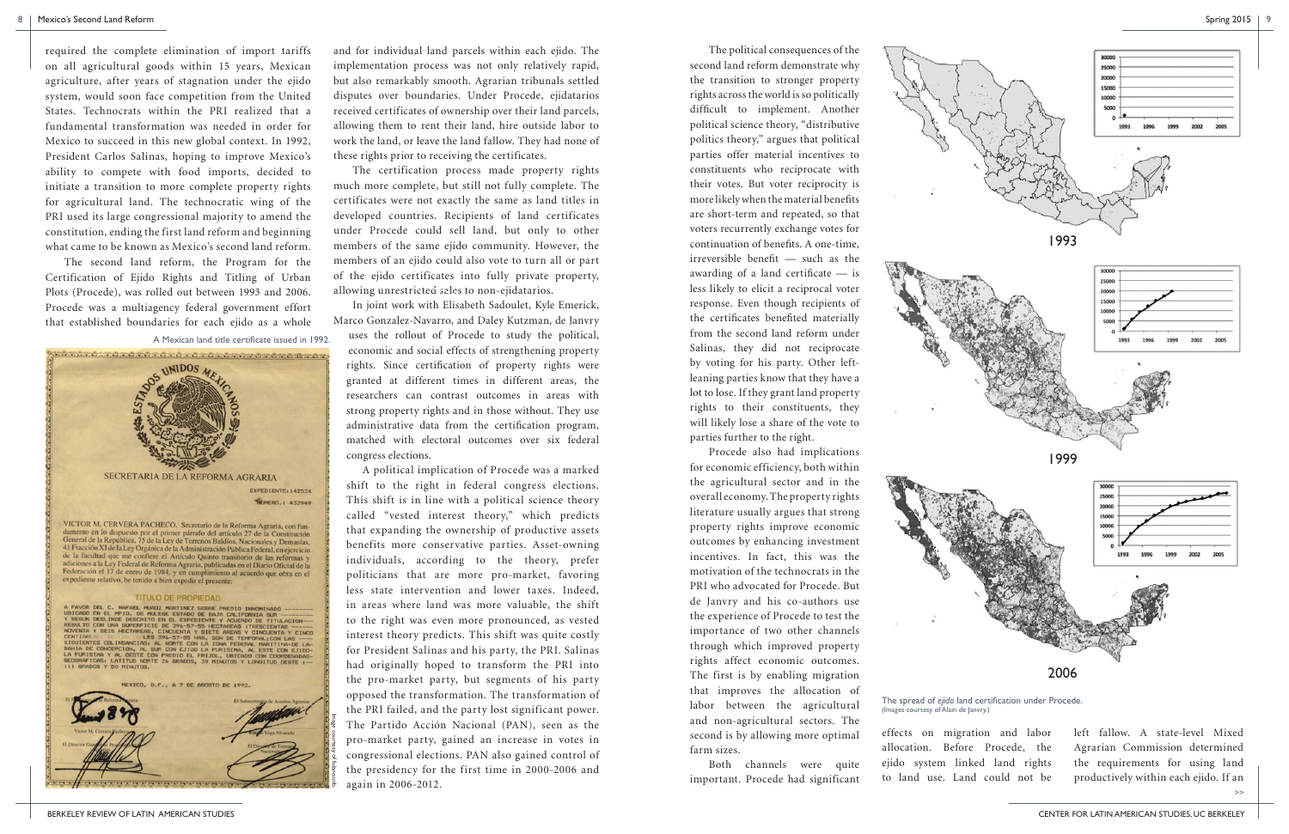BERKELEY REVIEW OF LATIN AMERICAN STUDIES CENTER FOR LATIN AMERICAN STUDIES, UC BERKELEY

The political consequences of the second land reform demonstrate why the transition to stronger property rights across the world is so politically difficult to implement. Another political science theory, "distributive politics theory," argues that political parties offer material incentives to constituents who reciprocate with their votes. But voter reciprocity is more likely when the material benefits are short-term and repeated, so that voters recurrently exchange votes for continuation of benefits. A one-time, irreversible benefit — such as the awarding of a land certificate — is less likely to elicit a reciprocal voter response. Even though recipients of the certificates benefited materially from the second land reform under Salinas, they did not reciprocate by voting for his party. Other leftleaning parties know that they have a lot to lose. If they grant land property rights to their constituents, they will likely lose a share of the vote to parties further to the right.

Procede also had implications for economic efficiency, both within the agricultural sector and in the overall economy. The property rights literature usually argues that strong property rights improve economic outcomes by enhancing investment incentives. In fact, this was the motivation of the technocrats in the PRI who advocated for Procede. But de Janvry and his co-authors use the experience of Procede to test the importance of two other channels through which improved property rights affect economic outcomes. The first is by enabling migration that improves the allocation of labor between the agricultural and non-agricultural sectors. The second is by allowing more optimal farm sizes.

Both channels were quite important. Procede had significant effects on migration and labor allocation. Before Procede, the ejido system linked land rights to land use. Land could not be left fallow. A state-level Mixed Agrarian Commission determined the requirements for using land productively within each ejido. If an

required the complete elimination of import tariffs on all agricultural goods within 15 years, Mexican agriculture, after years of stagnation under the ejido system, would soon face competition from the United States. Technocrats within the PRI realized that a fundamental transformation was needed in order for Mexico to succeed in this new global context. In 1992, President Carlos Salinas, hoping to improve Mexico's ability to compete with food imports, decided to initiate a transition to more complete property rights for agricultural land. The technocratic wing of the PRI used its large congressional majority to amend the constitution, ending the first land reform and beginning what came to be known as Mexico's second land reform.

The second land reform, the Program for the Certification of Ejido Rights and Titling of Urban Plots (Procede), was rolled out between 1993 and 2006. Procede was a multiagency federal government effort that established boundaries for each ejido as a whole

and for individual land parcels within each ejido. The implementation process was not only relatively rapid, but also remarkably smooth. Agrarian tribunals settled disputes over boundaries. Under Procede, ejidatarios received certificates of ownership over their land parcels, allowing them to rent their land, hire outside labor to work the land, or leave the land fallow. They had none of these rights prior to receiving the certificates.

The certification process made property rights much more complete, but still not fully complete. The certificates were not exactly the same as land titles in developed countries. Recipients of land certificates under Procede could sell land, but only to other members of the same ejido community. However, the members of an ejido could also vote to turn all or part of the ejido certificates into fully private property, allowing unrestricted sales to non-ejidatarios.

In joint work with Elisabeth Sadoulet, Kyle Emerick, Marco Gonzalez-Navarro, and Daley Kutzman, de Janvry

uses the rollout of Procede to study the political, economic and social effects of strengthening property rights. Since certification of property rights were granted at different times in different areas, the researchers can contrast outcomes in areas with strong property rights and in those without. They use administrative data from the certification program, matched with electoral outcomes over six federal congress elections.

 A political implication of Procede was a marked shift to the right in federal congress elections. This shift is in line with a political science theory called "vested interest theory," which predicts that expanding the ownership of productive assets benefits more conservative parties. Asset-owning individuals, according to the theory, prefer politicians that are more pro-market, favoring less state intervention and lower taxes. Indeed, in areas where land was more valuable, the shift to the right was even more pronounced, as vested interest theory predicts. This shift was quite costly for President Salinas and his party, the PRI. Salinas had originally hoped to transform the PRI into the pro-market party, but segments of his party opposed the transformation. The transformation of the PRI failed, and the party lost significant power. The Partido Acción Nacional (PAN), seen as the pro-market party, gained an increase in votes in congressional elections. PAN also gained control of the presidency for the first time in 2000-2006 and again in 2006-2012.

A Mexican land title certificate issued in 1992.



MEXICO, D.F., A 7 DE AGOSTO DE 1992.

Image courtesy of fulano.info.

>>

The spread of *ejido* land certification under Procede. (Images courtesy of Alain de Janvry.)